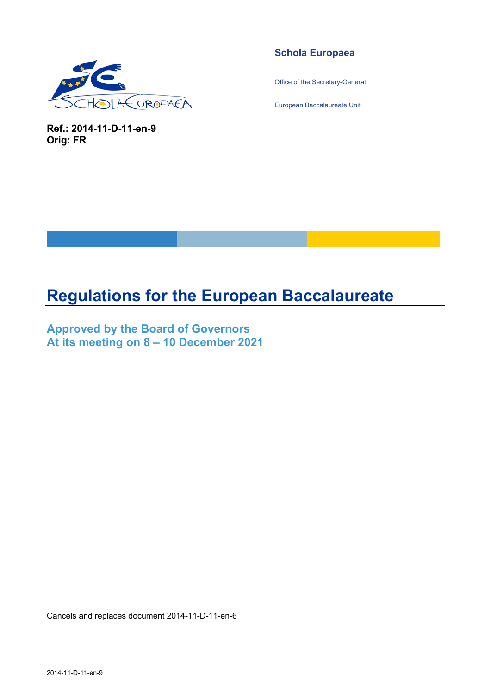

**Ref.: 2014-11-D-11-en-9 Orig: FR** 

## **Schola Europaea**

Office of the Secretary-General

European Baccalaureate Unit

# **Regulations for the European Baccalaureate**

**Approved by the Board of Governors At its meeting on 8 – 10 December 2021** 

Cancels and replaces document 2014-11-D-11-en-6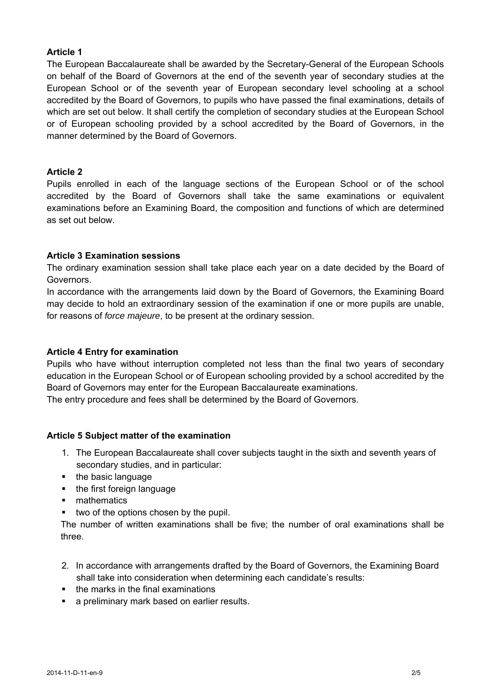## **Article 1**

The European Baccalaureate shall be awarded by the Secretary-General of the European Schools on behalf of the Board of Governors at the end of the seventh year of secondary studies at the European School or of the seventh year of European secondary level schooling at a school accredited by the Board of Governors, to pupils who have passed the final examinations, details of which are set out below. It shall certify the completion of secondary studies at the European School or of European schooling provided by a school accredited by the Board of Governors, in the manner determined by the Board of Governors.

## **Article 2**

Pupils enrolled in each of the language sections of the European School or of the school accredited by the Board of Governors shall take the same examinations or equivalent examinations before an Examining Board, the composition and functions of which are determined as set out below.

## **Article 3 Examination sessions**

The ordinary examination session shall take place each year on a date decided by the Board of Governors.

In accordance with the arrangements laid down by the Board of Governors, the Examining Board may decide to hold an extraordinary session of the examination if one or more pupils are unable, for reasons of *force majeure*, to be present at the ordinary session.

## **Article 4 Entry for examination**

Pupils who have without interruption completed not less than the final two years of secondary education in the European School or of European schooling provided by a school accredited by the Board of Governors may enter for the European Baccalaureate examinations.

The entry procedure and fees shall be determined by the Board of Governors.

## **Article 5 Subject matter of the examination**

- 1. The European Baccalaureate shall cover subjects taught in the sixth and seventh years of secondary studies, and in particular:
- the basic language
- the first foreign language
- **nathematics**
- $\bullet$  two of the options chosen by the pupil.

The number of written examinations shall be five; the number of oral examinations shall be three.

- 2. In accordance with arrangements drafted by the Board of Governors, the Examining Board shall take into consideration when determining each candidate's results:
- $\blacksquare$  the marks in the final examinations
- **a** preliminary mark based on earlier results.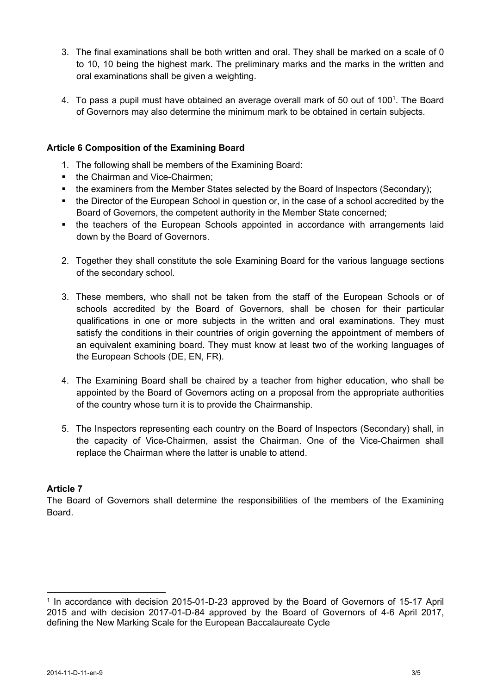- 3. The final examinations shall be both written and oral. They shall be marked on a scale of 0 to 10, 10 being the highest mark. The preliminary marks and the marks in the written and oral examinations shall be given a weighting.
- 4. To pass a pupil must have obtained an average overall mark of 50 out of 100<sup>1</sup>. The Board of Governors may also determine the minimum mark to be obtained in certain subjects.

## **Article 6 Composition of the Examining Board**

- 1. The following shall be members of the Examining Board:
- the Chairman and Vice-Chairmen:
- the examiners from the Member States selected by the Board of Inspectors (Secondary);
- the Director of the European School in question or, in the case of a school accredited by the Board of Governors, the competent authority in the Member State concerned;
- the teachers of the European Schools appointed in accordance with arrangements laid down by the Board of Governors.
- 2. Together they shall constitute the sole Examining Board for the various language sections of the secondary school.
- 3. These members, who shall not be taken from the staff of the European Schools or of schools accredited by the Board of Governors, shall be chosen for their particular qualifications in one or more subjects in the written and oral examinations. They must satisfy the conditions in their countries of origin governing the appointment of members of an equivalent examining board. They must know at least two of the working languages of the European Schools (DE, EN, FR).
- 4. The Examining Board shall be chaired by a teacher from higher education, who shall be appointed by the Board of Governors acting on a proposal from the appropriate authorities of the country whose turn it is to provide the Chairmanship.
- 5. The Inspectors representing each country on the Board of Inspectors (Secondary) shall, in the capacity of Vice-Chairmen, assist the Chairman. One of the Vice-Chairmen shall replace the Chairman where the latter is unable to attend.

## **Article 7**

 $\overline{a}$ 

The Board of Governors shall determine the responsibilities of the members of the Examining Board.

<sup>1</sup> In accordance with decision 2015-01-D-23 approved by the Board of Governors of 15-17 April 2015 and with decision 2017-01-D-84 approved by the Board of Governors of 4-6 April 2017, defining the New Marking Scale for the European Baccalaureate Cycle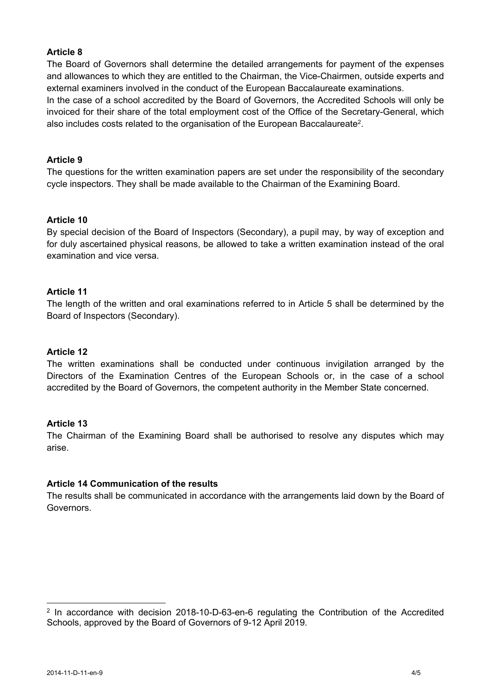## **Article 8**

The Board of Governors shall determine the detailed arrangements for payment of the expenses and allowances to which they are entitled to the Chairman, the Vice-Chairmen, outside experts and external examiners involved in the conduct of the European Baccalaureate examinations.

In the case of a school accredited by the Board of Governors, the Accredited Schools will only be invoiced for their share of the total employment cost of the Office of the Secretary-General, which also includes costs related to the organisation of the European Baccalaureate<sup>2</sup>.

## **Article 9**

The questions for the written examination papers are set under the responsibility of the secondary cycle inspectors. They shall be made available to the Chairman of the Examining Board.

#### **Article 10**

By special decision of the Board of Inspectors (Secondary), a pupil may, by way of exception and for duly ascertained physical reasons, be allowed to take a written examination instead of the oral examination and vice versa.

#### **Article 11**

The length of the written and oral examinations referred to in Article 5 shall be determined by the Board of Inspectors (Secondary).

#### **Article 12**

The written examinations shall be conducted under continuous invigilation arranged by the Directors of the Examination Centres of the European Schools or, in the case of a school accredited by the Board of Governors, the competent authority in the Member State concerned.

#### **Article 13**

The Chairman of the Examining Board shall be authorised to resolve any disputes which may arise.

#### **Article 14 Communication of the results**

The results shall be communicated in accordance with the arrangements laid down by the Board of Governors.

<sup>&</sup>lt;sup>2</sup> In accordance with decision 2018-10-D-63-en-6 regulating the Contribution of the Accredited Schools, approved by the Board of Governors of 9-12 April 2019.